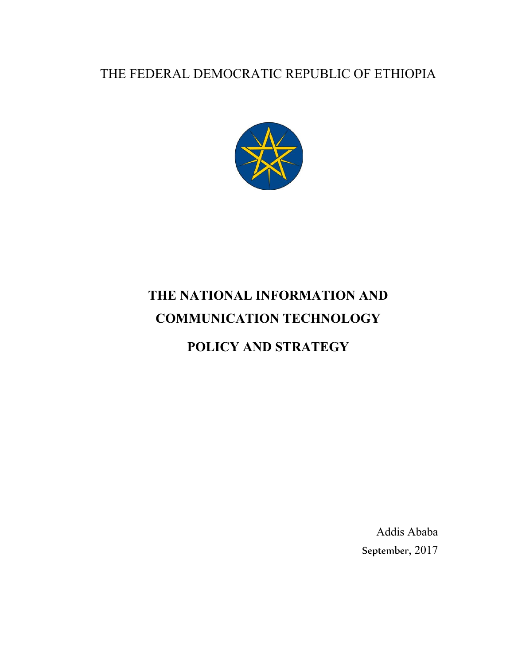## THE FEDERAL DEMOCRATIC REPUBLIC OF ETHIOPIA



# **THE NATIONAL INFORMATION AND COMMUNICATION TECHNOLOGY**

# **POLICY AND STRATEGY**

Addis Ababa September, 2017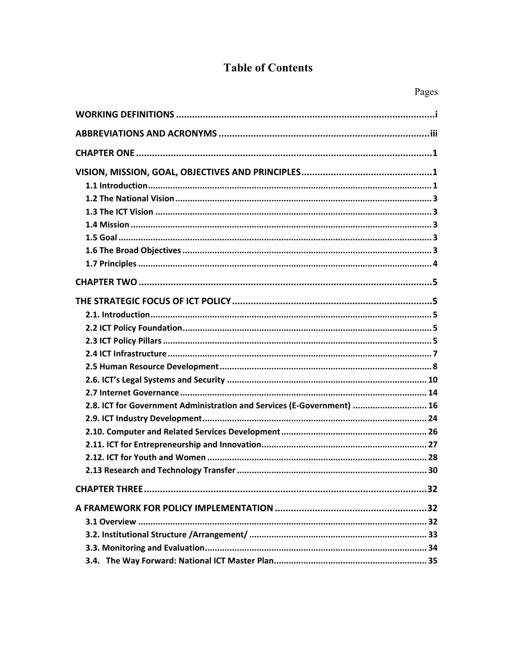## **Table of Contents**

| L<br>÷<br>۳ |
|-------------|
|-------------|

| 2.8. ICT for Government Administration and Services (E-Government)  16 |
|------------------------------------------------------------------------|
|                                                                        |
|                                                                        |
|                                                                        |
|                                                                        |
|                                                                        |
|                                                                        |
|                                                                        |
|                                                                        |
|                                                                        |
|                                                                        |
|                                                                        |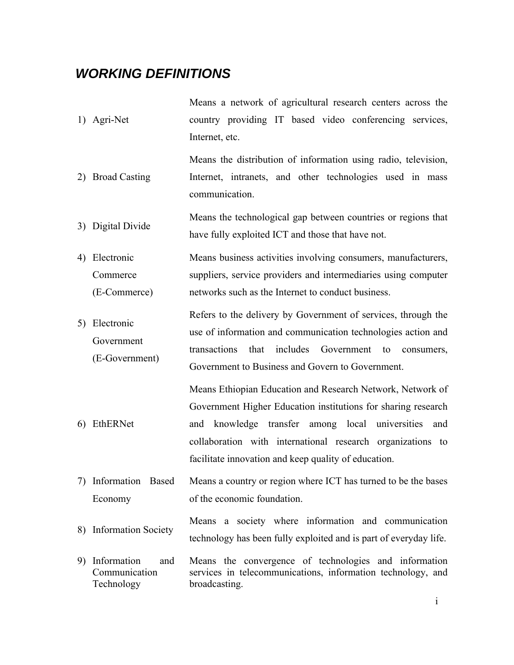## *WORKING DEFINITIONS*

- 1) Agri-Net Means a network of agricultural research centers across the country providing IT based video conferencing services, Internet, etc.
- 2) Broad Casting Means the distribution of information using radio, television, Internet, intranets, and other technologies used in mass communication.
- 3) Digital Divide Means the technological gap between countries or regions that have fully exploited ICT and those that have not.
- 4) Electronic Commerce (E-Commerce) Means business activities involving consumers, manufacturers, suppliers, service providers and intermediaries using computer networks such as the Internet to conduct business.
- 5) Electronic Government (E-Government) Refers to the delivery by Government of services, through the use of information and communication technologies action and transactions that includes Government to consumers, Government to Business and Govern to Government.

6) EthERNet Means Ethiopian Education and Research Network, Network of Government Higher Education institutions for sharing research and knowledge transfer among local universities and collaboration with international research organizations to facilitate innovation and keep quality of education.

7) Information Based Economy Means a country or region where ICT has turned to be the bases of the economic foundation.

8) Information Society Means a society where information and communication technology has been fully exploited and is part of everyday life.

9) Information and Communication Technology Means the convergence of technologies and information services in telecommunications, information technology, and broadcasting.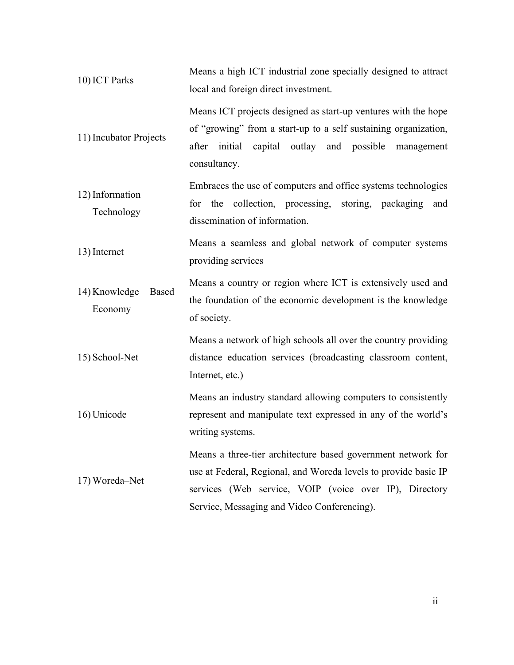| 10) ICT Parks                            | Means a high ICT industrial zone specially designed to attract<br>local and foreign direct investment.                                                                                                                                   |
|------------------------------------------|------------------------------------------------------------------------------------------------------------------------------------------------------------------------------------------------------------------------------------------|
| 11) Incubator Projects                   | Means ICT projects designed as start-up ventures with the hope<br>of "growing" from a start-up to a self sustaining organization,<br>after initial capital outlay and possible management<br>consultancy.                                |
| 12) Information<br>Technology            | Embraces the use of computers and office systems technologies<br>for the collection, processing, storing, packaging<br>and<br>dissemination of information.                                                                              |
| 13) Internet                             | Means a seamless and global network of computer systems<br>providing services                                                                                                                                                            |
| 14) Knowledge<br><b>Based</b><br>Economy | Means a country or region where ICT is extensively used and<br>the foundation of the economic development is the knowledge<br>of society.                                                                                                |
| 15) School-Net                           | Means a network of high schools all over the country providing<br>distance education services (broadcasting classroom content,<br>Internet, etc.)                                                                                        |
| 16) Unicode                              | Means an industry standard allowing computers to consistently<br>represent and manipulate text expressed in any of the world's<br>writing systems.                                                                                       |
| 17) Woreda-Net                           | Means a three-tier architecture based government network for<br>use at Federal, Regional, and Woreda levels to provide basic IP<br>services (Web service, VOIP (voice over IP), Directory<br>Service, Messaging and Video Conferencing). |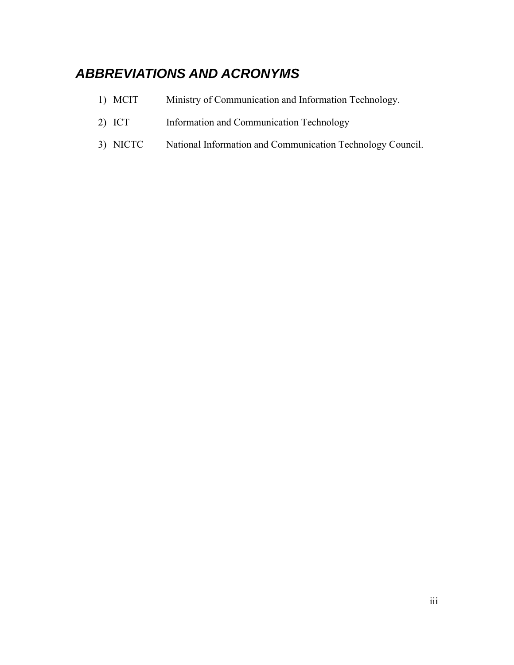## *ABBREVIATIONS AND ACRONYMS*

- 1) MCIT Ministry of Communication and Information Technology.
- 2) ICT Information and Communication Technology
- 3) NICTC National Information and Communication Technology Council.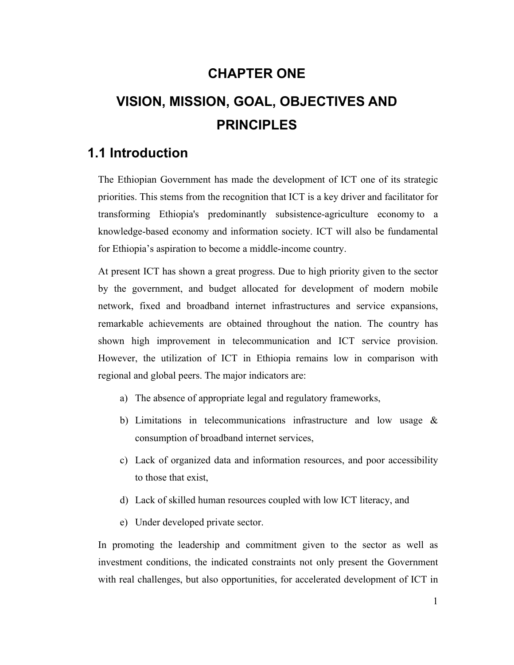## **CHAPTER ONE**

# **VISION, MISSION, GOAL, OBJECTIVES AND PRINCIPLES**

## **1.1 Introduction**

The Ethiopian Government has made the development of ICT one of its strategic priorities. This stems from the recognition that ICT is a key driver and facilitator for transforming Ethiopia's predominantly subsistence-agriculture economy to a knowledge-based economy and information society. ICT will also be fundamental for Ethiopia's aspiration to become a middle-income country.

At present ICT has shown a great progress. Due to high priority given to the sector by the government, and budget allocated for development of modern mobile network, fixed and broadband internet infrastructures and service expansions, remarkable achievements are obtained throughout the nation. The country has shown high improvement in telecommunication and ICT service provision. However, the utilization of ICT in Ethiopia remains low in comparison with regional and global peers. The major indicators are:

- a) The absence of appropriate legal and regulatory frameworks,
- b) Limitations in telecommunications infrastructure and low usage & consumption of broadband internet services,
- c) Lack of organized data and information resources, and poor accessibility to those that exist,
- d) Lack of skilled human resources coupled with low ICT literacy, and
- e) Under developed private sector.

In promoting the leadership and commitment given to the sector as well as investment conditions, the indicated constraints not only present the Government with real challenges, but also opportunities, for accelerated development of ICT in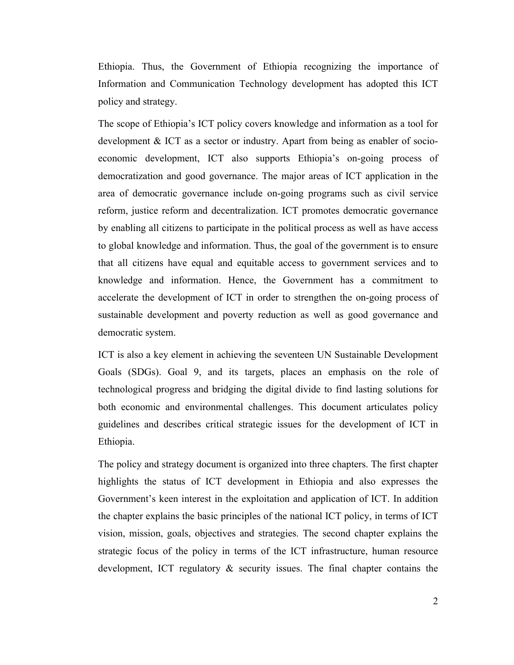Ethiopia. Thus, the Government of Ethiopia recognizing the importance of Information and Communication Technology development has adopted this ICT policy and strategy.

The scope of Ethiopia's ICT policy covers knowledge and information as a tool for development & ICT as a sector or industry. Apart from being as enabler of socioeconomic development, ICT also supports Ethiopia's on-going process of democratization and good governance. The major areas of ICT application in the area of democratic governance include on-going programs such as civil service reform, justice reform and decentralization. ICT promotes democratic governance by enabling all citizens to participate in the political process as well as have access to global knowledge and information. Thus, the goal of the government is to ensure that all citizens have equal and equitable access to government services and to knowledge and information. Hence, the Government has a commitment to accelerate the development of ICT in order to strengthen the on-going process of sustainable development and poverty reduction as well as good governance and democratic system.

ICT is also a key element in achieving the seventeen UN Sustainable Development Goals (SDGs). Goal 9, and its targets, places an emphasis on the role of technological progress and bridging the digital divide to find lasting solutions for both economic and environmental challenges. This document articulates policy guidelines and describes critical strategic issues for the development of ICT in Ethiopia.

The policy and strategy document is organized into three chapters. The first chapter highlights the status of ICT development in Ethiopia and also expresses the Government's keen interest in the exploitation and application of ICT. In addition the chapter explains the basic principles of the national ICT policy, in terms of ICT vision, mission, goals, objectives and strategies. The second chapter explains the strategic focus of the policy in terms of the ICT infrastructure, human resource development, ICT regulatory & security issues. The final chapter contains the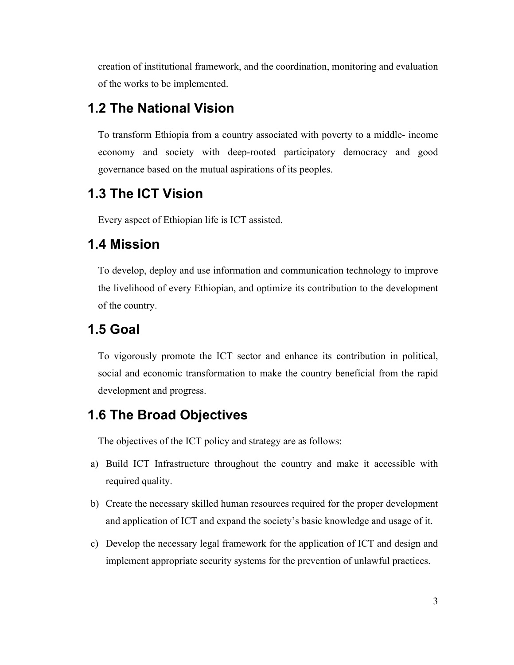creation of institutional framework, and the coordination, monitoring and evaluation of the works to be implemented.

## **1.2 The National Vision**

To transform Ethiopia from a country associated with poverty to a middle- income economy and society with deep-rooted participatory democracy and good governance based on the mutual aspirations of its peoples.

## **1.3 The ICT Vision**

Every aspect of Ethiopian life is ICT assisted.

## **1.4 Mission**

To develop, deploy and use information and communication technology to improve the livelihood of every Ethiopian, and optimize its contribution to the development of the country.

#### **1.5 Goal**

To vigorously promote the ICT sector and enhance its contribution in political, social and economic transformation to make the country beneficial from the rapid development and progress.

## **1.6 The Broad Objectives**

The objectives of the ICT policy and strategy are as follows:

- a) Build ICT Infrastructure throughout the country and make it accessible with required quality.
- b) Create the necessary skilled human resources required for the proper development and application of ICT and expand the society's basic knowledge and usage of it.
- c) Develop the necessary legal framework for the application of ICT and design and implement appropriate security systems for the prevention of unlawful practices.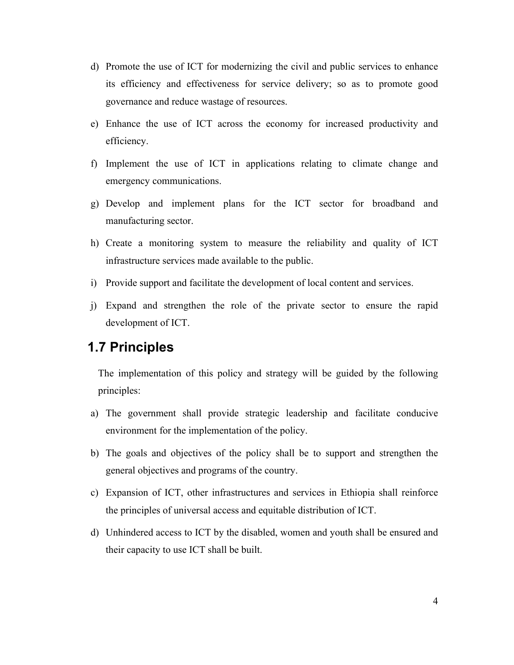- d) Promote the use of ICT for modernizing the civil and public services to enhance its efficiency and effectiveness for service delivery; so as to promote good governance and reduce wastage of resources.
- e) Enhance the use of ICT across the economy for increased productivity and efficiency.
- f) Implement the use of ICT in applications relating to climate change and emergency communications.
- g) Develop and implement plans for the ICT sector for broadband and manufacturing sector.
- h) Create a monitoring system to measure the reliability and quality of ICT infrastructure services made available to the public.
- i) Provide support and facilitate the development of local content and services.
- j) Expand and strengthen the role of the private sector to ensure the rapid development of ICT.

#### **1.7 Principles**

The implementation of this policy and strategy will be guided by the following principles:

- a) The government shall provide strategic leadership and facilitate conducive environment for the implementation of the policy.
- b) The goals and objectives of the policy shall be to support and strengthen the general objectives and programs of the country.
- c) Expansion of ICT, other infrastructures and services in Ethiopia shall reinforce the principles of universal access and equitable distribution of ICT.
- d) Unhindered access to ICT by the disabled, women and youth shall be ensured and their capacity to use ICT shall be built.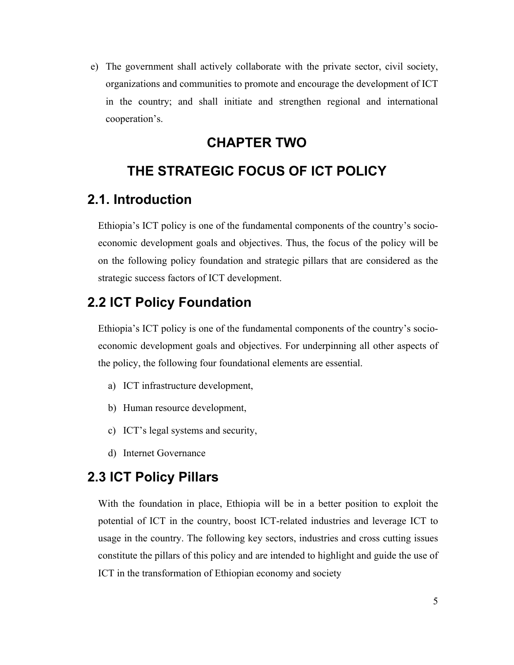e) The government shall actively collaborate with the private sector, civil society, organizations and communities to promote and encourage the development of ICT in the country; and shall initiate and strengthen regional and international cooperation's.

## **CHAPTER TWO**

## **THE STRATEGIC FOCUS OF ICT POLICY**

## **2.1. Introduction**

Ethiopia's ICT policy is one of the fundamental components of the country's socioeconomic development goals and objectives. Thus, the focus of the policy will be on the following policy foundation and strategic pillars that are considered as the strategic success factors of ICT development.

## **2.2 ICT Policy Foundation**

Ethiopia's ICT policy is one of the fundamental components of the country's socioeconomic development goals and objectives. For underpinning all other aspects of the policy, the following four foundational elements are essential.

- a) ICT infrastructure development,
- b) Human resource development,
- c) ICT's legal systems and security,
- d) Internet Governance

## **2.3 ICT Policy Pillars**

With the foundation in place, Ethiopia will be in a better position to exploit the potential of ICT in the country, boost ICT-related industries and leverage ICT to usage in the country. The following key sectors, industries and cross cutting issues constitute the pillars of this policy and are intended to highlight and guide the use of ICT in the transformation of Ethiopian economy and society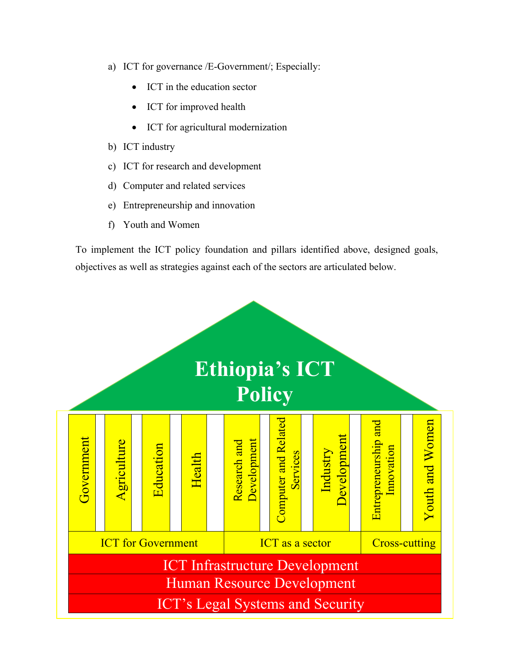- a) ICT for governance /E-Government/; Especially:
	- ICT in the education sector
	- ICT for improved health
	- ICT for agricultural modernization
- b) ICT industry
- c) ICT for research and development
- d) Computer and related services
- e) Entrepreneurship and innovation
- f) Youth and Women

To implement the ICT policy foundation and pillars identified above, designed goals, objectives as well as strategies against each of the sectors are articulated below.

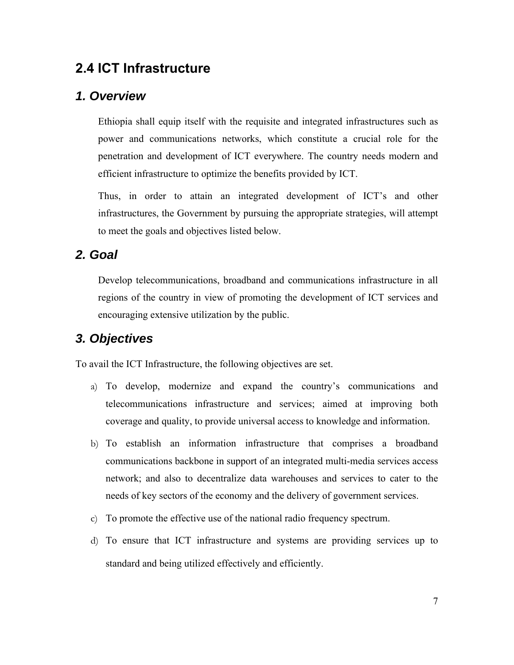## **2.4 ICT Infrastructure**

#### *1. Overview*

Ethiopia shall equip itself with the requisite and integrated infrastructures such as power and communications networks, which constitute a crucial role for the penetration and development of ICT everywhere. The country needs modern and efficient infrastructure to optimize the benefits provided by ICT.

Thus, in order to attain an integrated development of ICT's and other infrastructures, the Government by pursuing the appropriate strategies, will attempt to meet the goals and objectives listed below.

#### *2. Goal*

Develop telecommunications, broadband and communications infrastructure in all regions of the country in view of promoting the development of ICT services and encouraging extensive utilization by the public.

#### *3. Objectives*

To avail the ICT Infrastructure, the following objectives are set.

- a) To develop, modernize and expand the country's communications and telecommunications infrastructure and services; aimed at improving both coverage and quality, to provide universal access to knowledge and information.
- b) To establish an information infrastructure that comprises a broadband communications backbone in support of an integrated multi-media services access network; and also to decentralize data warehouses and services to cater to the needs of key sectors of the economy and the delivery of government services.
- c) To promote the effective use of the national radio frequency spectrum.
- d) To ensure that ICT infrastructure and systems are providing services up to standard and being utilized effectively and efficiently.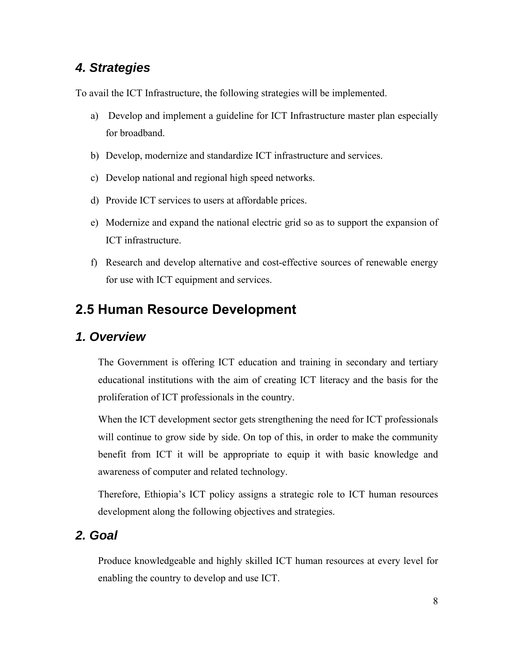## *4. Strategies*

To avail the ICT Infrastructure, the following strategies will be implemented.

- a) Develop and implement a guideline for ICT Infrastructure master plan especially for broadband.
- b) Develop, modernize and standardize ICT infrastructure and services.
- c) Develop national and regional high speed networks.
- d) Provide ICT services to users at affordable prices.
- e) Modernize and expand the national electric grid so as to support the expansion of ICT infrastructure.
- f) Research and develop alternative and cost-effective sources of renewable energy for use with ICT equipment and services.

## **2.5 Human Resource Development**

#### *1. Overview*

The Government is offering ICT education and training in secondary and tertiary educational institutions with the aim of creating ICT literacy and the basis for the proliferation of ICT professionals in the country.

When the ICT development sector gets strengthening the need for ICT professionals will continue to grow side by side. On top of this, in order to make the community benefit from ICT it will be appropriate to equip it with basic knowledge and awareness of computer and related technology.

Therefore, Ethiopia's ICT policy assigns a strategic role to ICT human resources development along the following objectives and strategies.

#### *2. Goal*

Produce knowledgeable and highly skilled ICT human resources at every level for enabling the country to develop and use ICT.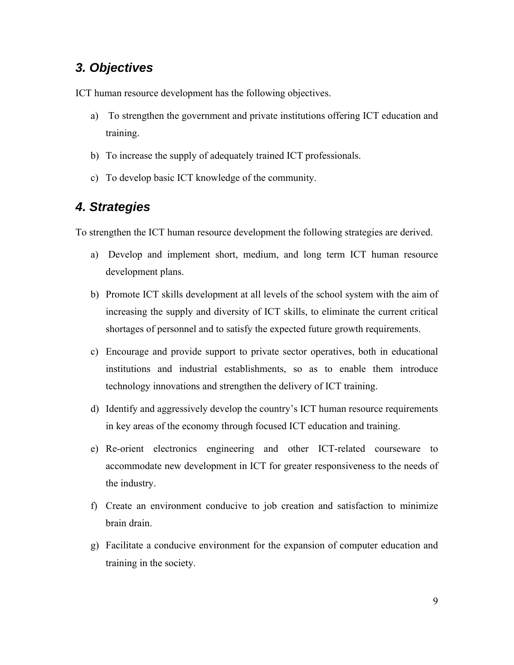### *3. Objectives*

ICT human resource development has the following objectives.

- a) To strengthen the government and private institutions offering ICT education and training.
- b) To increase the supply of adequately trained ICT professionals.
- c) To develop basic ICT knowledge of the community.

### *4. Strategies*

To strengthen the ICT human resource development the following strategies are derived.

- a) Develop and implement short, medium, and long term ICT human resource development plans.
- b) Promote ICT skills development at all levels of the school system with the aim of increasing the supply and diversity of ICT skills, to eliminate the current critical shortages of personnel and to satisfy the expected future growth requirements.
- c) Encourage and provide support to private sector operatives, both in educational institutions and industrial establishments, so as to enable them introduce technology innovations and strengthen the delivery of ICT training.
- d) Identify and aggressively develop the country's ICT human resource requirements in key areas of the economy through focused ICT education and training.
- e) Re-orient electronics engineering and other ICT-related courseware to accommodate new development in ICT for greater responsiveness to the needs of the industry.
- f) Create an environment conducive to job creation and satisfaction to minimize brain drain.
- g) Facilitate a conducive environment for the expansion of computer education and training in the society.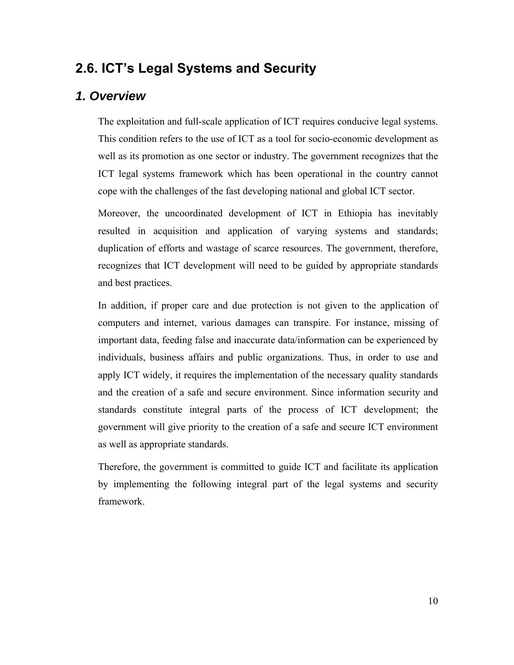## **2.6. ICT's Legal Systems and Security**

#### *1. Overview*

The exploitation and full-scale application of ICT requires conducive legal systems. This condition refers to the use of ICT as a tool for socio-economic development as well as its promotion as one sector or industry. The government recognizes that the ICT legal systems framework which has been operational in the country cannot cope with the challenges of the fast developing national and global ICT sector.

Moreover, the uncoordinated development of ICT in Ethiopia has inevitably resulted in acquisition and application of varying systems and standards; duplication of efforts and wastage of scarce resources. The government, therefore, recognizes that ICT development will need to be guided by appropriate standards and best practices.

In addition, if proper care and due protection is not given to the application of computers and internet, various damages can transpire. For instance, missing of important data, feeding false and inaccurate data/information can be experienced by individuals, business affairs and public organizations. Thus, in order to use and apply ICT widely, it requires the implementation of the necessary quality standards and the creation of a safe and secure environment. Since information security and standards constitute integral parts of the process of ICT development; the government will give priority to the creation of a safe and secure ICT environment as well as appropriate standards.

Therefore, the government is committed to guide ICT and facilitate its application by implementing the following integral part of the legal systems and security framework.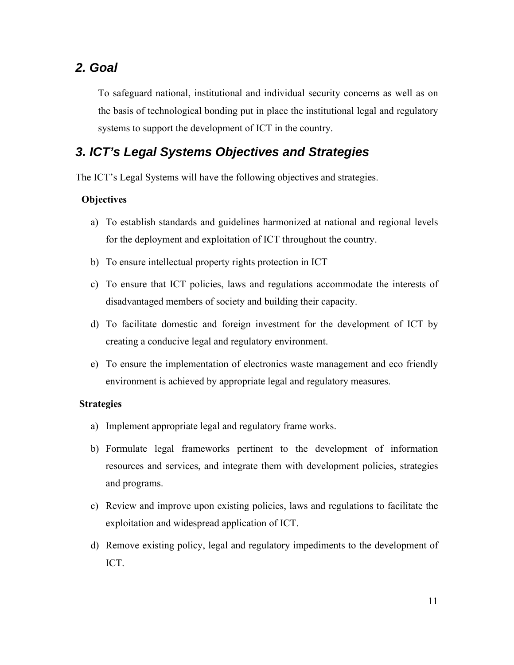#### *2. Goal*

To safeguard national, institutional and individual security concerns as well as on the basis of technological bonding put in place the institutional legal and regulatory systems to support the development of ICT in the country.

## *3. ICT's Legal Systems Objectives and Strategies*

The ICT's Legal Systems will have the following objectives and strategies.

#### **Objectives**

- a) To establish standards and guidelines harmonized at national and regional levels for the deployment and exploitation of ICT throughout the country.
- b) To ensure intellectual property rights protection in ICT
- c) To ensure that ICT policies, laws and regulations accommodate the interests of disadvantaged members of society and building their capacity.
- d) To facilitate domestic and foreign investment for the development of ICT by creating a conducive legal and regulatory environment.
- e) To ensure the implementation of electronics waste management and eco friendly environment is achieved by appropriate legal and regulatory measures.

#### **Strategies**

- a) Implement appropriate legal and regulatory frame works.
- b) Formulate legal frameworks pertinent to the development of information resources and services, and integrate them with development policies, strategies and programs.
- c) Review and improve upon existing policies, laws and regulations to facilitate the exploitation and widespread application of ICT.
- d) Remove existing policy, legal and regulatory impediments to the development of ICT.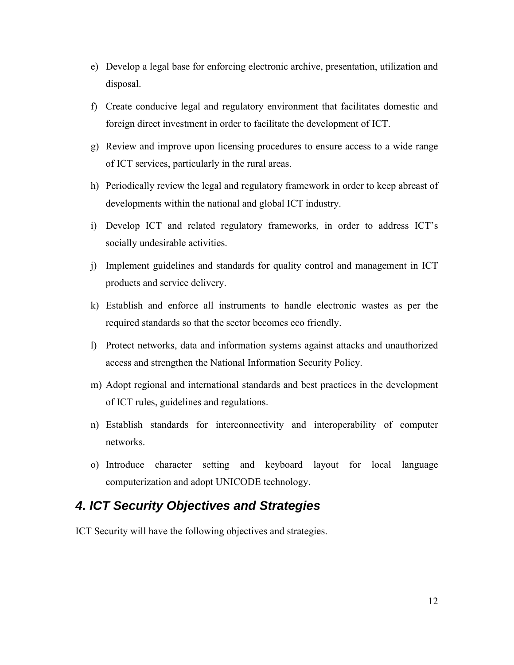- e) Develop a legal base for enforcing electronic archive, presentation, utilization and disposal.
- f) Create conducive legal and regulatory environment that facilitates domestic and foreign direct investment in order to facilitate the development of ICT.
- g) Review and improve upon licensing procedures to ensure access to a wide range of ICT services, particularly in the rural areas.
- h) Periodically review the legal and regulatory framework in order to keep abreast of developments within the national and global ICT industry.
- i) Develop ICT and related regulatory frameworks, in order to address ICT's socially undesirable activities.
- j) Implement guidelines and standards for quality control and management in ICT products and service delivery.
- k) Establish and enforce all instruments to handle electronic wastes as per the required standards so that the sector becomes eco friendly.
- l) Protect networks, data and information systems against attacks and unauthorized access and strengthen the National Information Security Policy.
- m) Adopt regional and international standards and best practices in the development of ICT rules, guidelines and regulations.
- n) Establish standards for interconnectivity and interoperability of computer networks.
- o) Introduce character setting and keyboard layout for local language computerization and adopt UNICODE technology.

#### *4. ICT Security Objectives and Strategies*

ICT Security will have the following objectives and strategies.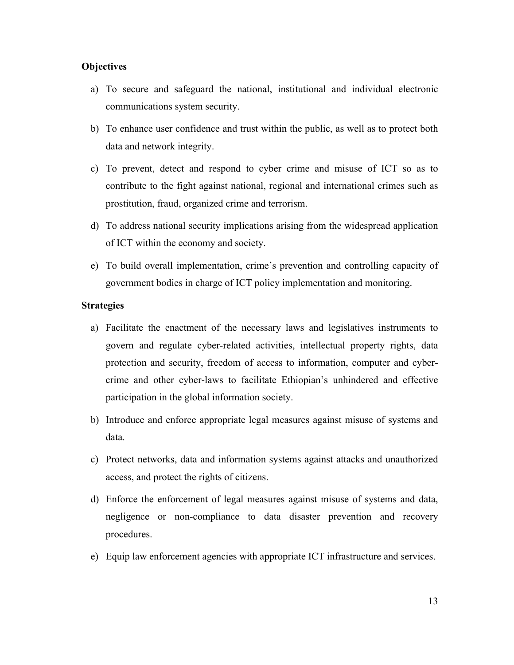#### **Objectives**

- a) To secure and safeguard the national, institutional and individual electronic communications system security.
- b) To enhance user confidence and trust within the public, as well as to protect both data and network integrity.
- c) To prevent, detect and respond to cyber crime and misuse of ICT so as to contribute to the fight against national, regional and international crimes such as prostitution, fraud, organized crime and terrorism.
- d) To address national security implications arising from the widespread application of ICT within the economy and society.
- e) To build overall implementation, crime's prevention and controlling capacity of government bodies in charge of ICT policy implementation and monitoring.

#### **Strategies**

- a) Facilitate the enactment of the necessary laws and legislatives instruments to govern and regulate cyber-related activities, intellectual property rights, data protection and security, freedom of access to information, computer and cybercrime and other cyber-laws to facilitate Ethiopian's unhindered and effective participation in the global information society.
- b) Introduce and enforce appropriate legal measures against misuse of systems and data.
- c) Protect networks, data and information systems against attacks and unauthorized access, and protect the rights of citizens.
- d) Enforce the enforcement of legal measures against misuse of systems and data, negligence or non-compliance to data disaster prevention and recovery procedures.
- e) Equip law enforcement agencies with appropriate ICT infrastructure and services.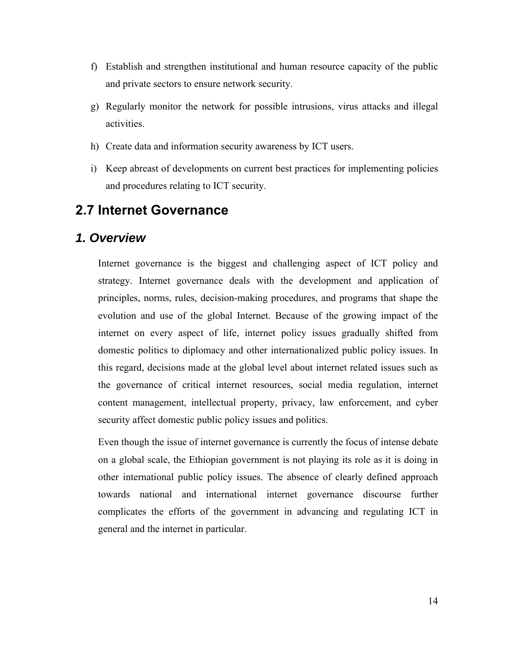- f) Establish and strengthen institutional and human resource capacity of the public and private sectors to ensure network security.
- g) Regularly monitor the network for possible intrusions, virus attacks and illegal activities.
- h) Create data and information security awareness by ICT users.
- i) Keep abreast of developments on current best practices for implementing policies and procedures relating to ICT security.

#### **2.7 Internet Governance**

#### *1. Overview*

Internet governance is the biggest and challenging aspect of ICT policy and strategy. Internet governance deals with the development and application of principles, norms, rules, decision-making procedures, and programs that shape the evolution and use of the global Internet. Because of the growing impact of the internet on every aspect of life, internet policy issues gradually shifted from domestic politics to diplomacy and other internationalized public policy issues. In this regard, decisions made at the global level about internet related issues such as the governance of critical internet resources, social media regulation, internet content management, intellectual property, privacy, law enforcement, and cyber security affect domestic public policy issues and politics.

Even though the issue of internet governance is currently the focus of intense debate on a global scale, the Ethiopian government is not playing its role as it is doing in other international public policy issues. The absence of clearly defined approach towards national and international internet governance discourse further complicates the efforts of the government in advancing and regulating ICT in general and the internet in particular.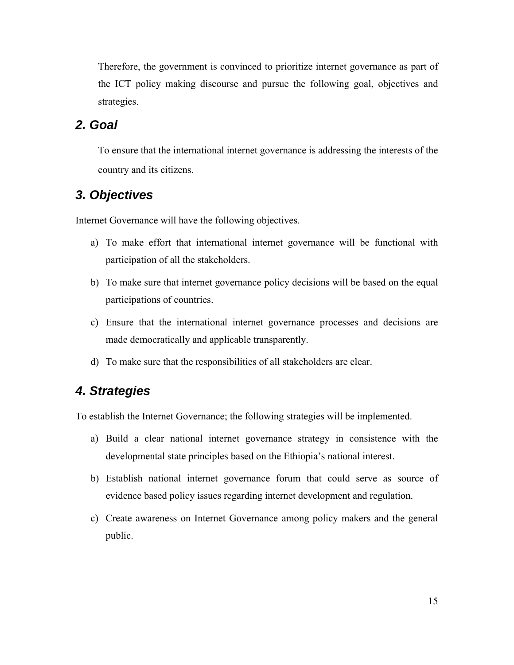Therefore, the government is convinced to prioritize internet governance as part of the ICT policy making discourse and pursue the following goal, objectives and strategies.

#### *2. Goal*

To ensure that the international internet governance is addressing the interests of the country and its citizens.

#### *3. Objectives*

Internet Governance will have the following objectives.

- a) To make effort that international internet governance will be functional with participation of all the stakeholders.
- b) To make sure that internet governance policy decisions will be based on the equal participations of countries.
- c) Ensure that the international internet governance processes and decisions are made democratically and applicable transparently.
- d) To make sure that the responsibilities of all stakeholders are clear.

#### *4. Strategies*

To establish the Internet Governance; the following strategies will be implemented.

- a) Build a clear national internet governance strategy in consistence with the developmental state principles based on the Ethiopia's national interest.
- b) Establish national internet governance forum that could serve as source of evidence based policy issues regarding internet development and regulation.
- c) Create awareness on Internet Governance among policy makers and the general public.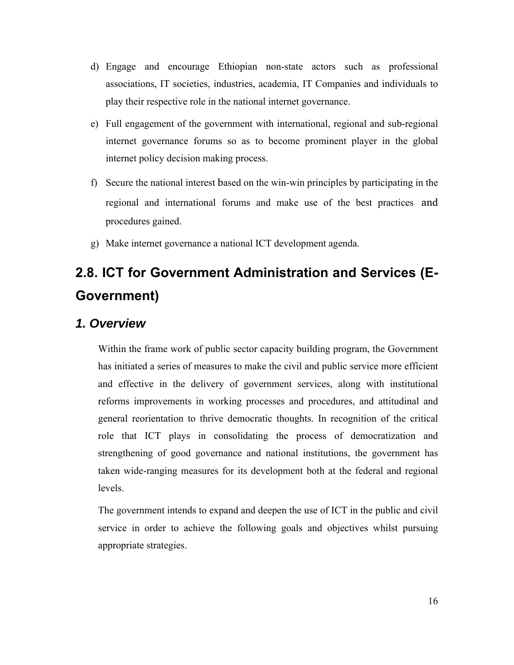- d) Engage and encourage Ethiopian non-state actors such as professional associations, IT societies, industries, academia, IT Companies and individuals to play their respective role in the national internet governance.
- e) Full engagement of the government with international, regional and sub-regional internet governance forums so as to become prominent player in the global internet policy decision making process.
- f) Secure the national interest based on the win-win principles by participating in the regional and international forums and make use of the best practices and procedures gained.
- g) Make internet governance a national ICT development agenda.

# **2.8. ICT for Government Administration and Services (E-Government)**

#### *1. Overview*

Within the frame work of public sector capacity building program, the Government has initiated a series of measures to make the civil and public service more efficient and effective in the delivery of government services, along with institutional reforms improvements in working processes and procedures, and attitudinal and general reorientation to thrive democratic thoughts. In recognition of the critical role that ICT plays in consolidating the process of democratization and strengthening of good governance and national institutions, the government has taken wide-ranging measures for its development both at the federal and regional levels.

The government intends to expand and deepen the use of ICT in the public and civil service in order to achieve the following goals and objectives whilst pursuing appropriate strategies.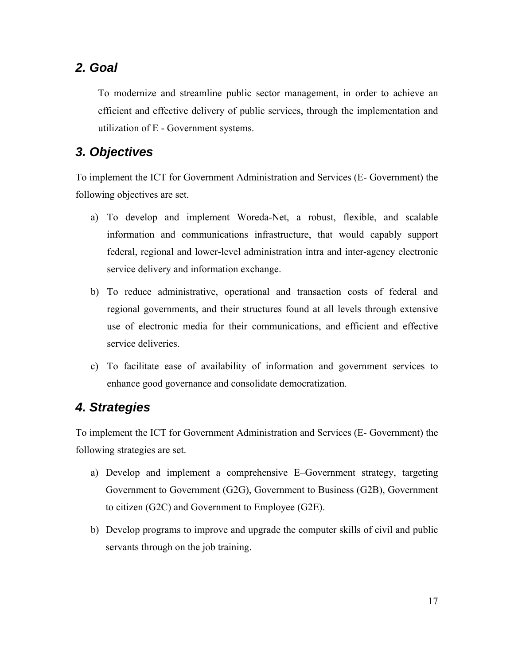#### *2. Goal*

To modernize and streamline public sector management, in order to achieve an efficient and effective delivery of public services, through the implementation and utilization of E - Government systems.

### *3. Objectives*

To implement the ICT for Government Administration and Services (E- Government) the following objectives are set.

- a) To develop and implement Woreda-Net, a robust, flexible, and scalable information and communications infrastructure, that would capably support federal, regional and lower-level administration intra and inter-agency electronic service delivery and information exchange.
- b) To reduce administrative, operational and transaction costs of federal and regional governments, and their structures found at all levels through extensive use of electronic media for their communications, and efficient and effective service deliveries.
- c) To facilitate ease of availability of information and government services to enhance good governance and consolidate democratization.

#### *4. Strategies*

To implement the ICT for Government Administration and Services (E- Government) the following strategies are set.

- a) Develop and implement a comprehensive E–Government strategy, targeting Government to Government (G2G), Government to Business (G2B), Government to citizen (G2C) and Government to Employee (G2E).
- b) Develop programs to improve and upgrade the computer skills of civil and public servants through on the job training.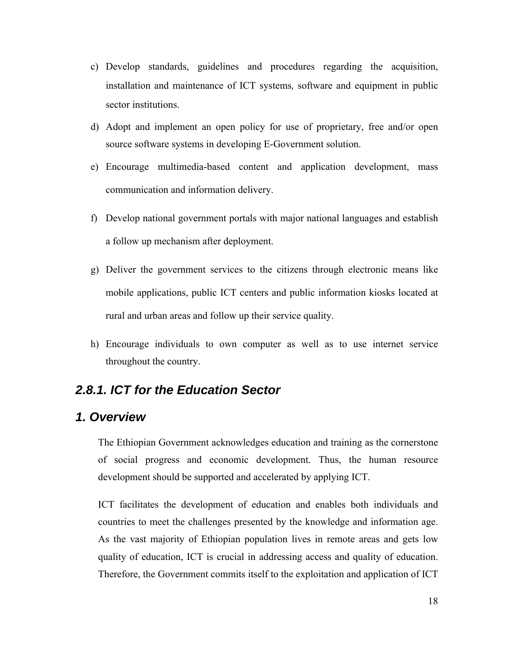- c) Develop standards, guidelines and procedures regarding the acquisition, installation and maintenance of ICT systems, software and equipment in public sector institutions.
- d) Adopt and implement an open policy for use of proprietary, free and/or open source software systems in developing E-Government solution.
- e) Encourage multimedia-based content and application development, mass communication and information delivery.
- f) Develop national government portals with major national languages and establish a follow up mechanism after deployment.
- g) Deliver the government services to the citizens through electronic means like mobile applications, public ICT centers and public information kiosks located at rural and urban areas and follow up their service quality.
- h) Encourage individuals to own computer as well as to use internet service throughout the country.

#### *2.8.1. ICT for the Education Sector*

#### *1. Overview*

The Ethiopian Government acknowledges education and training as the cornerstone of social progress and economic development. Thus, the human resource development should be supported and accelerated by applying ICT.

ICT facilitates the development of education and enables both individuals and countries to meet the challenges presented by the knowledge and information age. As the vast majority of Ethiopian population lives in remote areas and gets low quality of education, ICT is crucial in addressing access and quality of education. Therefore, the Government commits itself to the exploitation and application of ICT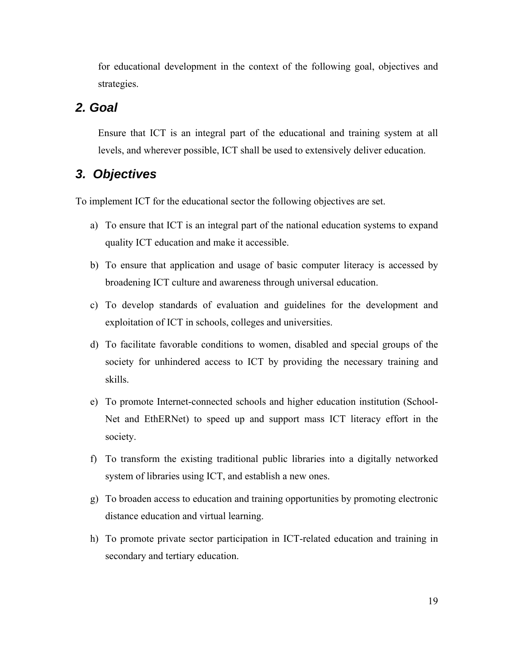for educational development in the context of the following goal, objectives and strategies.

#### *2. Goal*

Ensure that ICT is an integral part of the educational and training system at all levels, and wherever possible, ICT shall be used to extensively deliver education.

#### *3. Objectives*

To implement ICT for the educational sector the following objectives are set.

- a) To ensure that ICT is an integral part of the national education systems to expand quality ICT education and make it accessible.
- b) To ensure that application and usage of basic computer literacy is accessed by broadening ICT culture and awareness through universal education.
- c) To develop standards of evaluation and guidelines for the development and exploitation of ICT in schools, colleges and universities.
- d) To facilitate favorable conditions to women, disabled and special groups of the society for unhindered access to ICT by providing the necessary training and skills.
- e) To promote Internet-connected schools and higher education institution (School-Net and EthERNet) to speed up and support mass ICT literacy effort in the society.
- f) To transform the existing traditional public libraries into a digitally networked system of libraries using ICT, and establish a new ones.
- g) To broaden access to education and training opportunities by promoting electronic distance education and virtual learning.
- h) To promote private sector participation in ICT-related education and training in secondary and tertiary education.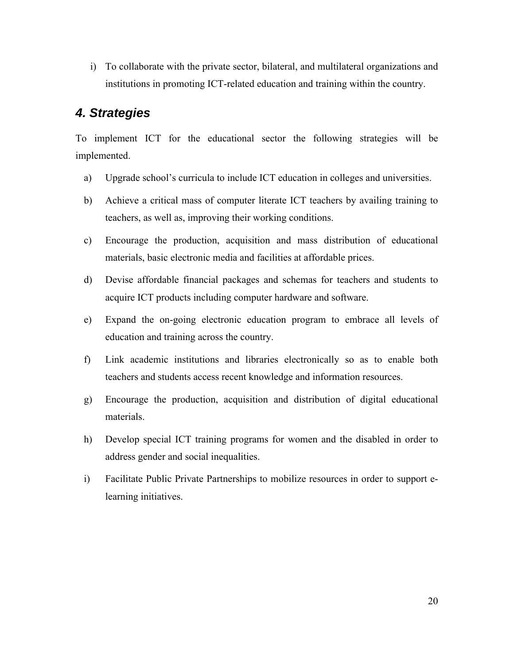i) To collaborate with the private sector, bilateral, and multilateral organizations and institutions in promoting ICT-related education and training within the country.

#### *4. Strategies*

To implement ICT for the educational sector the following strategies will be implemented.

- a) Upgrade school's curricula to include ICT education in colleges and universities.
- b) Achieve a critical mass of computer literate ICT teachers by availing training to teachers, as well as, improving their working conditions.
- c) Encourage the production, acquisition and mass distribution of educational materials, basic electronic media and facilities at affordable prices.
- d) Devise affordable financial packages and schemas for teachers and students to acquire ICT products including computer hardware and software.
- e) Expand the on-going electronic education program to embrace all levels of education and training across the country.
- f) Link academic institutions and libraries electronically so as to enable both teachers and students access recent knowledge and information resources.
- g) Encourage the production, acquisition and distribution of digital educational materials.
- h) Develop special ICT training programs for women and the disabled in order to address gender and social inequalities.
- i) Facilitate Public Private Partnerships to mobilize resources in order to support elearning initiatives.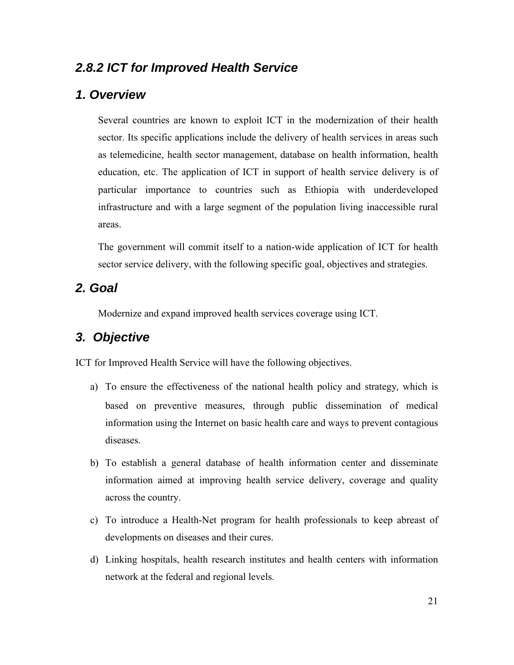### *2.8.2 ICT for Improved Health Service*

#### *1. Overview*

Several countries are known to exploit ICT in the modernization of their health sector. Its specific applications include the delivery of health services in areas such as telemedicine, health sector management, database on health information, health education, etc. The application of ICT in support of health service delivery is of particular importance to countries such as Ethiopia with underdeveloped infrastructure and with a large segment of the population living inaccessible rural areas.

The government will commit itself to a nation-wide application of ICT for health sector service delivery, with the following specific goal, objectives and strategies.

#### *2. Goal*

Modernize and expand improved health services coverage using ICT.

#### *3. Objective*

ICT for Improved Health Service will have the following objectives.

- a) To ensure the effectiveness of the national health policy and strategy, which is based on preventive measures, through public dissemination of medical information using the Internet on basic health care and ways to prevent contagious diseases.
- b) To establish a general database of health information center and disseminate information aimed at improving health service delivery, coverage and quality across the country.
- c) To introduce a Health-Net program for health professionals to keep abreast of developments on diseases and their cures.
- d) Linking hospitals, health research institutes and health centers with information network at the federal and regional levels.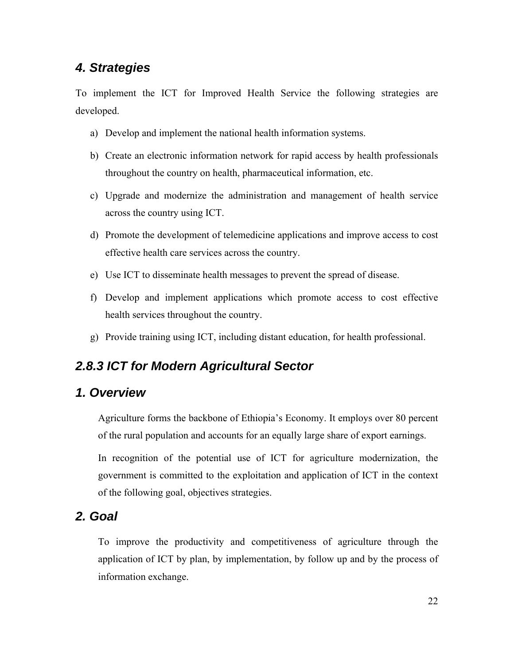## *4. Strategies*

To implement the ICT for Improved Health Service the following strategies are developed.

- a) Develop and implement the national health information systems.
- b) Create an electronic information network for rapid access by health professionals throughout the country on health, pharmaceutical information, etc.
- c) Upgrade and modernize the administration and management of health service across the country using ICT.
- d) Promote the development of telemedicine applications and improve access to cost effective health care services across the country.
- e) Use ICT to disseminate health messages to prevent the spread of disease.
- f) Develop and implement applications which promote access to cost effective health services throughout the country.
- g) Provide training using ICT, including distant education, for health professional.

#### *2.8.3 ICT for Modern Agricultural Sector*

#### *1. Overview*

Agriculture forms the backbone of Ethiopia's Economy. It employs over 80 percent of the rural population and accounts for an equally large share of export earnings.

In recognition of the potential use of ICT for agriculture modernization, the government is committed to the exploitation and application of ICT in the context of the following goal, objectives strategies.

#### *2. Goal*

To improve the productivity and competitiveness of agriculture through the application of ICT by plan, by implementation, by follow up and by the process of information exchange.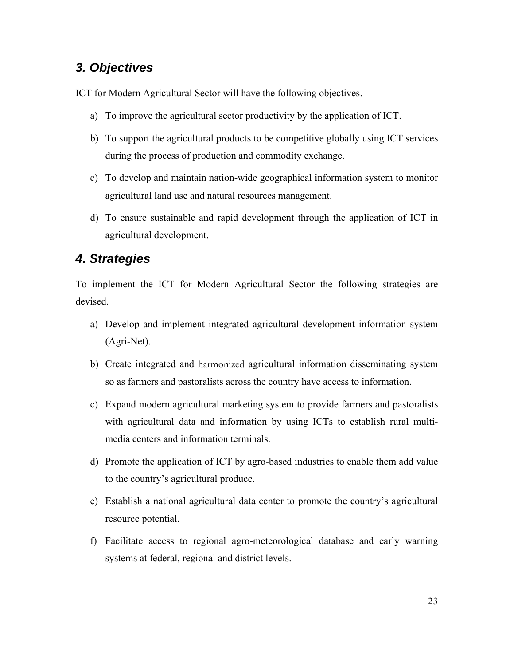## *3. Objectives*

ICT for Modern Agricultural Sector will have the following objectives.

- a) To improve the agricultural sector productivity by the application of ICT.
- b) To support the agricultural products to be competitive globally using ICT services during the process of production and commodity exchange.
- c) To develop and maintain nation-wide geographical information system to monitor agricultural land use and natural resources management.
- d) To ensure sustainable and rapid development through the application of ICT in agricultural development.

#### *4. Strategies*

To implement the ICT for Modern Agricultural Sector the following strategies are devised.

- a) Develop and implement integrated agricultural development information system (Agri-Net).
- b) Create integrated and harmonized agricultural information disseminating system so as farmers and pastoralists across the country have access to information.
- c) Expand modern agricultural marketing system to provide farmers and pastoralists with agricultural data and information by using ICTs to establish rural multimedia centers and information terminals.
- d) Promote the application of ICT by agro-based industries to enable them add value to the country's agricultural produce.
- e) Establish a national agricultural data center to promote the country's agricultural resource potential.
- f) Facilitate access to regional agro-meteorological database and early warning systems at federal, regional and district levels.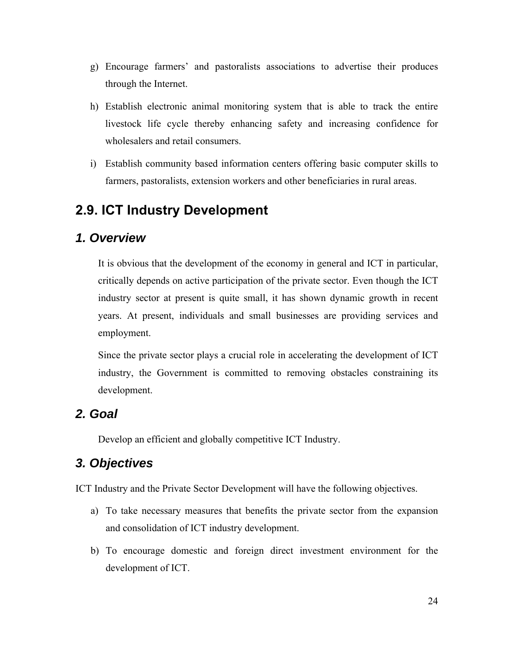- g) Encourage farmers' and pastoralists associations to advertise their produces through the Internet.
- h) Establish electronic animal monitoring system that is able to track the entire livestock life cycle thereby enhancing safety and increasing confidence for wholesalers and retail consumers.
- i) Establish community based information centers offering basic computer skills to farmers, pastoralists, extension workers and other beneficiaries in rural areas.

## **2.9. ICT Industry Development**

#### *1. Overview*

It is obvious that the development of the economy in general and ICT in particular, critically depends on active participation of the private sector. Even though the ICT industry sector at present is quite small, it has shown dynamic growth in recent years. At present, individuals and small businesses are providing services and employment.

Since the private sector plays a crucial role in accelerating the development of ICT industry, the Government is committed to removing obstacles constraining its development.

#### *2. Goal*

Develop an efficient and globally competitive ICT Industry.

### *3. Objectives*

ICT Industry and the Private Sector Development will have the following objectives.

- a) To take necessary measures that benefits the private sector from the expansion and consolidation of ICT industry development.
- b) To encourage domestic and foreign direct investment environment for the development of ICT.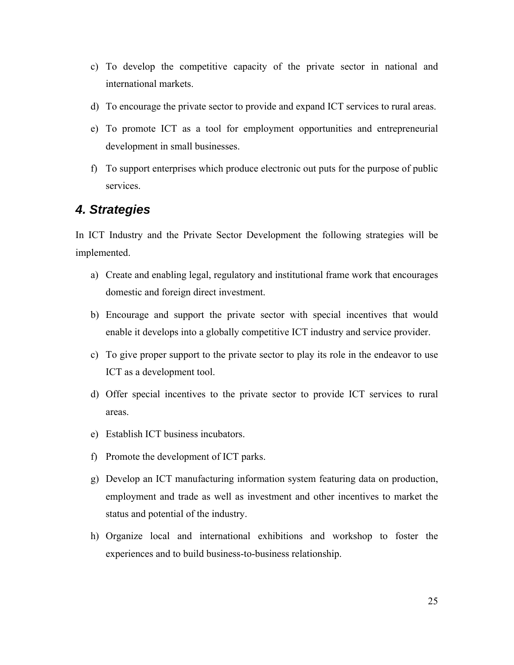- c) To develop the competitive capacity of the private sector in national and international markets.
- d) To encourage the private sector to provide and expand ICT services to rural areas.
- e) To promote ICT as a tool for employment opportunities and entrepreneurial development in small businesses.
- f) To support enterprises which produce electronic out puts for the purpose of public services.

#### *4. Strategies*

In ICT Industry and the Private Sector Development the following strategies will be implemented.

- a) Create and enabling legal, regulatory and institutional frame work that encourages domestic and foreign direct investment.
- b) Encourage and support the private sector with special incentives that would enable it develops into a globally competitive ICT industry and service provider.
- c) To give proper support to the private sector to play its role in the endeavor to use ICT as a development tool.
- d) Offer special incentives to the private sector to provide ICT services to rural areas.
- e) Establish ICT business incubators.
- f) Promote the development of ICT parks.
- g) Develop an ICT manufacturing information system featuring data on production, employment and trade as well as investment and other incentives to market the status and potential of the industry.
- h) Organize local and international exhibitions and workshop to foster the experiences and to build business-to-business relationship.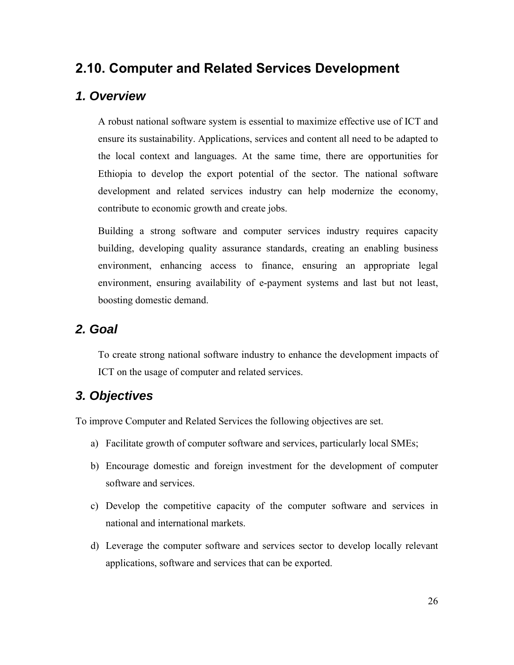## **2.10. Computer and Related Services Development**

#### *1. Overview*

A robust national software system is essential to maximize effective use of ICT and ensure its sustainability. Applications, services and content all need to be adapted to the local context and languages. At the same time, there are opportunities for Ethiopia to develop the export potential of the sector. The national software development and related services industry can help modernize the economy, contribute to economic growth and create jobs.

Building a strong software and computer services industry requires capacity building, developing quality assurance standards, creating an enabling business environment, enhancing access to finance, ensuring an appropriate legal environment, ensuring availability of e-payment systems and last but not least, boosting domestic demand.

#### *2. Goal*

To create strong national software industry to enhance the development impacts of ICT on the usage of computer and related services.

## *3. Objectives*

To improve Computer and Related Services the following objectives are set.

- a) Facilitate growth of computer software and services, particularly local SMEs;
- b) Encourage domestic and foreign investment for the development of computer software and services.
- c) Develop the competitive capacity of the computer software and services in national and international markets.
- d) Leverage the computer software and services sector to develop locally relevant applications, software and services that can be exported.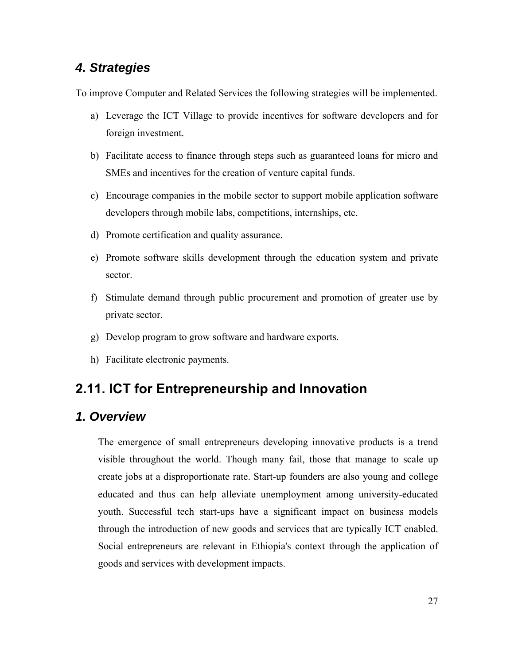### *4. Strategies*

To improve Computer and Related Services the following strategies will be implemented.

- a) Leverage the ICT Village to provide incentives for software developers and for foreign investment.
- b) Facilitate access to finance through steps such as guaranteed loans for micro and SMEs and incentives for the creation of venture capital funds.
- c) Encourage companies in the mobile sector to support mobile application software developers through mobile labs, competitions, internships, etc.
- d) Promote certification and quality assurance.
- e) Promote software skills development through the education system and private sector.
- f) Stimulate demand through public procurement and promotion of greater use by private sector.
- g) Develop program to grow software and hardware exports.
- h) Facilitate electronic payments.

## **2.11. ICT for Entrepreneurship and Innovation**

#### *1. Overview*

The emergence of small entrepreneurs developing innovative products is a trend visible throughout the world. Though many fail, those that manage to scale up create jobs at a disproportionate rate. Start-up founders are also young and college educated and thus can help alleviate unemployment among university-educated youth. Successful tech start-ups have a significant impact on business models through the introduction of new goods and services that are typically ICT enabled. Social entrepreneurs are relevant in Ethiopia's context through the application of goods and services with development impacts.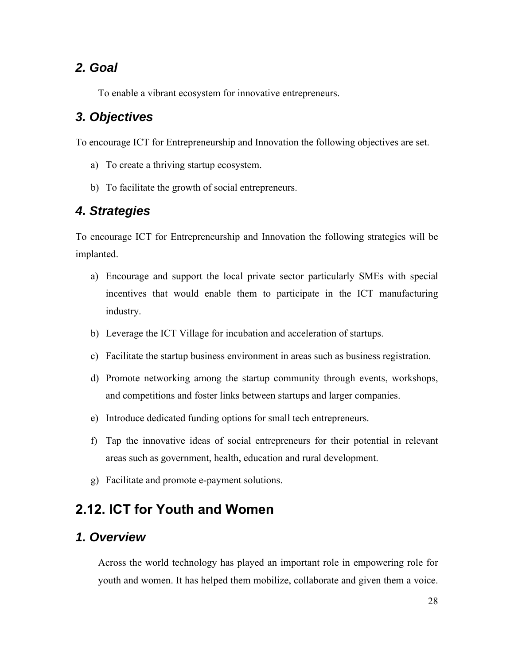#### *2. Goal*

To enable a vibrant ecosystem for innovative entrepreneurs.

#### *3. Objectives*

To encourage ICT for Entrepreneurship and Innovation the following objectives are set.

- a) To create a thriving startup ecosystem.
- b) To facilitate the growth of social entrepreneurs.

### *4. Strategies*

To encourage ICT for Entrepreneurship and Innovation the following strategies will be implanted.

- a) Encourage and support the local private sector particularly SMEs with special incentives that would enable them to participate in the ICT manufacturing industry.
- b) Leverage the ICT Village for incubation and acceleration of startups.
- c) Facilitate the startup business environment in areas such as business registration.
- d) Promote networking among the startup community through events, workshops, and competitions and foster links between startups and larger companies.
- e) Introduce dedicated funding options for small tech entrepreneurs.
- f) Tap the innovative ideas of social entrepreneurs for their potential in relevant areas such as government, health, education and rural development.
- g) Facilitate and promote e-payment solutions.

## **2.12. ICT for Youth and Women**

#### *1. Overview*

Across the world technology has played an important role in empowering role for youth and women. It has helped them mobilize, collaborate and given them a voice.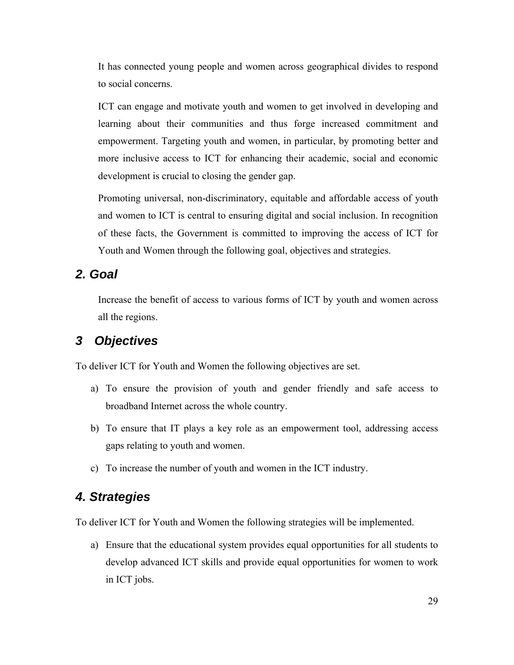It has connected young people and women across geographical divides to respond to social concerns.

ICT can engage and motivate youth and women to get involved in developing and learning about their communities and thus forge increased commitment and empowerment. Targeting youth and women, in particular, by promoting better and more inclusive access to ICT for enhancing their academic, social and economic development is crucial to closing the gender gap.

Promoting universal, non-discriminatory, equitable and affordable access of youth and women to ICT is central to ensuring digital and social inclusion. In recognition of these facts, the Government is committed to improving the access of ICT for Youth and Women through the following goal, objectives and strategies.

### *2. Goal*

Increase the benefit of access to various forms of ICT by youth and women across all the regions.

### *3 Objectives*

To deliver ICT for Youth and Women the following objectives are set.

- a) To ensure the provision of youth and gender friendly and safe access to broadband Internet across the whole country.
- b) To ensure that IT plays a key role as an empowerment tool, addressing access gaps relating to youth and women.
- c) To increase the number of youth and women in the ICT industry.

### *4. Strategies*

To deliver ICT for Youth and Women the following strategies will be implemented.

a) Ensure that the educational system provides equal opportunities for all students to develop advanced ICT skills and provide equal opportunities for women to work in ICT jobs.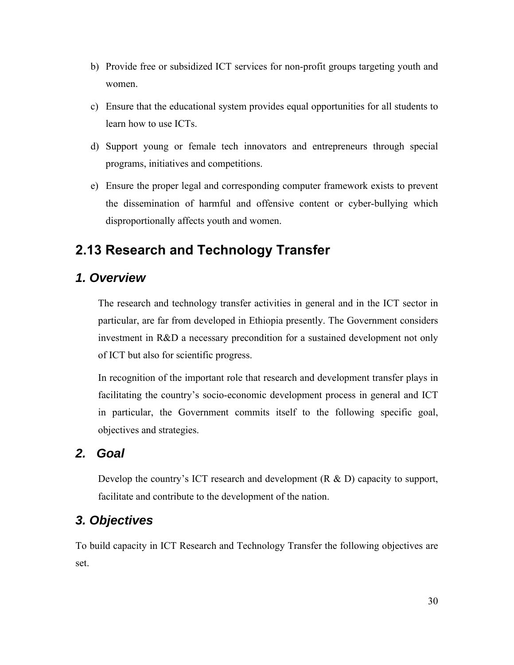- b) Provide free or subsidized ICT services for non-profit groups targeting youth and women.
- c) Ensure that the educational system provides equal opportunities for all students to learn how to use ICTs.
- d) Support young or female tech innovators and entrepreneurs through special programs, initiatives and competitions.
- e) Ensure the proper legal and corresponding computer framework exists to prevent the dissemination of harmful and offensive content or cyber-bullying which disproportionally affects youth and women.

## **2.13 Research and Technology Transfer**

#### *1. Overview*

The research and technology transfer activities in general and in the ICT sector in particular, are far from developed in Ethiopia presently. The Government considers investment in R&D a necessary precondition for a sustained development not only of ICT but also for scientific progress.

In recognition of the important role that research and development transfer plays in facilitating the country's socio-economic development process in general and ICT in particular, the Government commits itself to the following specific goal, objectives and strategies.

#### *2. Goal*

Develop the country's ICT research and development (R & D) capacity to support, facilitate and contribute to the development of the nation.

#### *3. Objectives*

To build capacity in ICT Research and Technology Transfer the following objectives are set.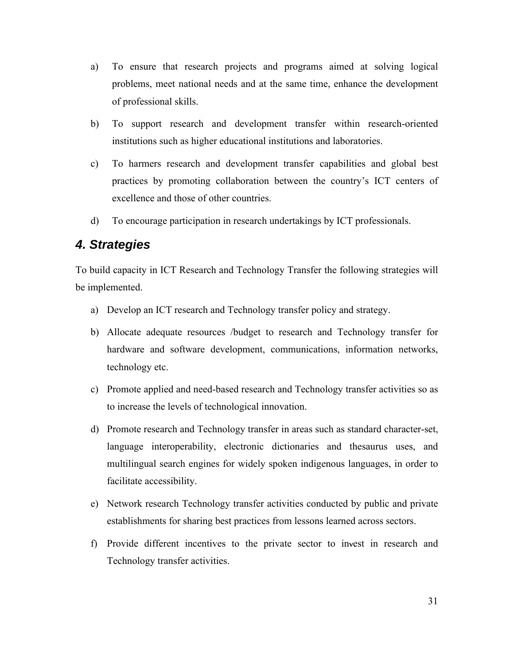- a) To ensure that research projects and programs aimed at solving logical problems, meet national needs and at the same time, enhance the development of professional skills.
- b) To support research and development transfer within research-oriented institutions such as higher educational institutions and laboratories.
- c) To harmers research and development transfer capabilities and global best practices by promoting collaboration between the country's ICT centers of excellence and those of other countries.
- d) To encourage participation in research undertakings by ICT professionals.

#### *4. Strategies*

To build capacity in ICT Research and Technology Transfer the following strategies will be implemented.

- a) Develop an ICT research and Technology transfer policy and strategy.
- b) Allocate adequate resources /budget to research and Technology transfer for hardware and software development, communications, information networks, technology etc.
- c) Promote applied and need-based research and Technology transfer activities so as to increase the levels of technological innovation.
- d) Promote research and Technology transfer in areas such as standard character-set, language interoperability, electronic dictionaries and thesaurus uses, and multilingual search engines for widely spoken indigenous languages, in order to facilitate accessibility.
- e) Network research Technology transfer activities conducted by public and private establishments for sharing best practices from lessons learned across sectors.
- f) Provide different incentives to the private sector to invest in research and Technology transfer activities.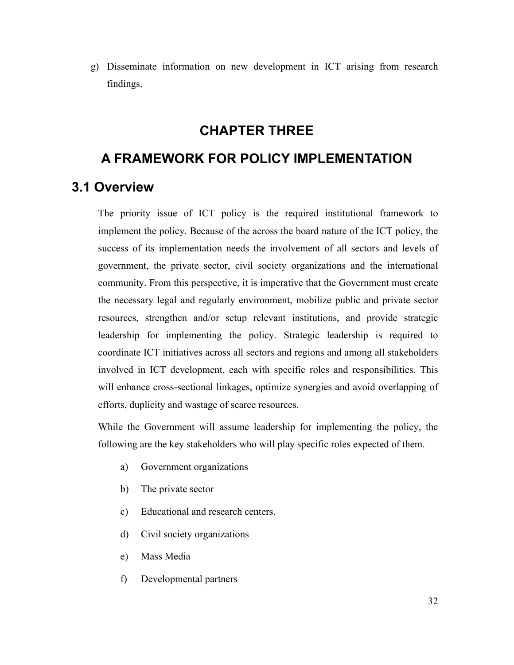g) Disseminate information on new development in ICT arising from research findings.

## **CHAPTER THREE**

### **A FRAMEWORK FOR POLICY IMPLEMENTATION**

### **3.1 Overview**

The priority issue of ICT policy is the required institutional framework to implement the policy. Because of the across the board nature of the ICT policy, the success of its implementation needs the involvement of all sectors and levels of government, the private sector, civil society organizations and the international community. From this perspective, it is imperative that the Government must create the necessary legal and regularly environment, mobilize public and private sector resources, strengthen and/or setup relevant institutions, and provide strategic leadership for implementing the policy. Strategic leadership is required to coordinate ICT initiatives across all sectors and regions and among all stakeholders involved in ICT development, each with specific roles and responsibilities. This will enhance cross-sectional linkages, optimize synergies and avoid overlapping of efforts, duplicity and wastage of scarce resources.

While the Government will assume leadership for implementing the policy, the following are the key stakeholders who will play specific roles expected of them.

- a) Government organizations
- b) The private sector
- c) Educational and research centers.
- d) Civil society organizations
- e) Mass Media
- f) Developmental partners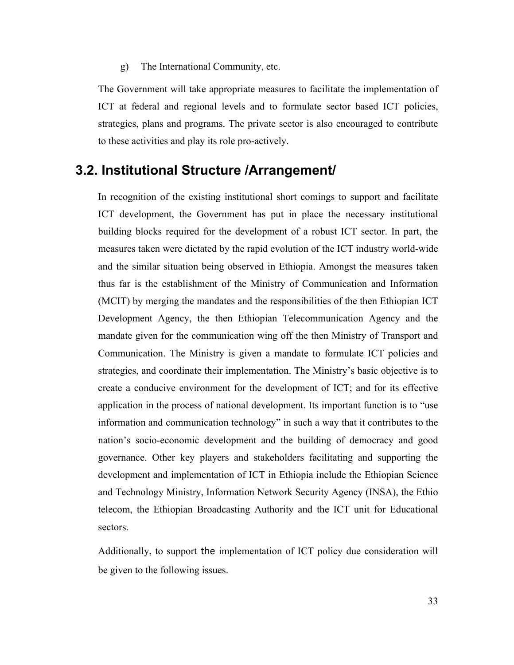g) The International Community, etc.

The Government will take appropriate measures to facilitate the implementation of ICT at federal and regional levels and to formulate sector based ICT policies, strategies, plans and programs. The private sector is also encouraged to contribute to these activities and play its role pro-actively.

#### **3.2. Institutional Structure /Arrangement/**

In recognition of the existing institutional short comings to support and facilitate ICT development, the Government has put in place the necessary institutional building blocks required for the development of a robust ICT sector. In part, the measures taken were dictated by the rapid evolution of the ICT industry world-wide and the similar situation being observed in Ethiopia. Amongst the measures taken thus far is the establishment of the Ministry of Communication and Information (MCIT) by merging the mandates and the responsibilities of the then Ethiopian ICT Development Agency, the then Ethiopian Telecommunication Agency and the mandate given for the communication wing off the then Ministry of Transport and Communication. The Ministry is given a mandate to formulate ICT policies and strategies, and coordinate their implementation. The Ministry's basic objective is to create a conducive environment for the development of ICT; and for its effective application in the process of national development. Its important function is to "use information and communication technology" in such a way that it contributes to the nation's socio-economic development and the building of democracy and good governance. Other key players and stakeholders facilitating and supporting the development and implementation of ICT in Ethiopia include the Ethiopian Science and Technology Ministry, Information Network Security Agency (INSA), the Ethio telecom, the Ethiopian Broadcasting Authority and the ICT unit for Educational sectors.

Additionally, to support the implementation of ICT policy due consideration will be given to the following issues.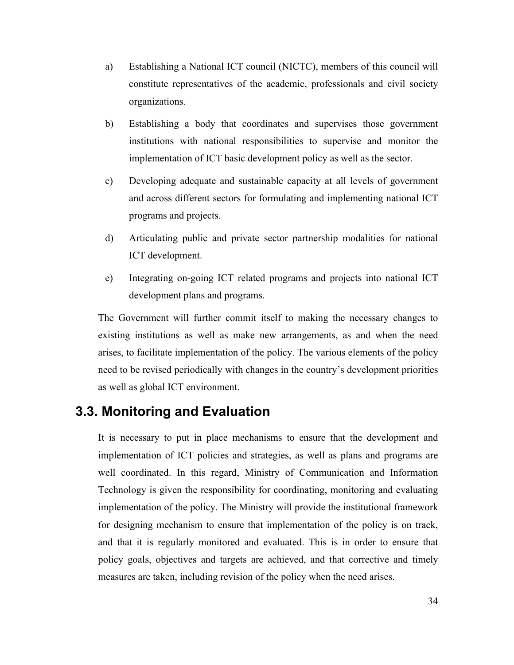- a) Establishing a National ICT council (NICTC), members of this council will constitute representatives of the academic, professionals and civil society organizations.
- b) Establishing a body that coordinates and supervises those government institutions with national responsibilities to supervise and monitor the implementation of ICT basic development policy as well as the sector.
- c) Developing adequate and sustainable capacity at all levels of government and across different sectors for formulating and implementing national ICT programs and projects.
- d) Articulating public and private sector partnership modalities for national ICT development.
- e) Integrating on-going ICT related programs and projects into national ICT development plans and programs.

The Government will further commit itself to making the necessary changes to existing institutions as well as make new arrangements, as and when the need arises, to facilitate implementation of the policy. The various elements of the policy need to be revised periodically with changes in the country's development priorities as well as global ICT environment.

## **3.3. Monitoring and Evaluation**

It is necessary to put in place mechanisms to ensure that the development and implementation of ICT policies and strategies, as well as plans and programs are well coordinated. In this regard, Ministry of Communication and Information Technology is given the responsibility for coordinating, monitoring and evaluating implementation of the policy. The Ministry will provide the institutional framework for designing mechanism to ensure that implementation of the policy is on track, and that it is regularly monitored and evaluated. This is in order to ensure that policy goals, objectives and targets are achieved, and that corrective and timely measures are taken, including revision of the policy when the need arises.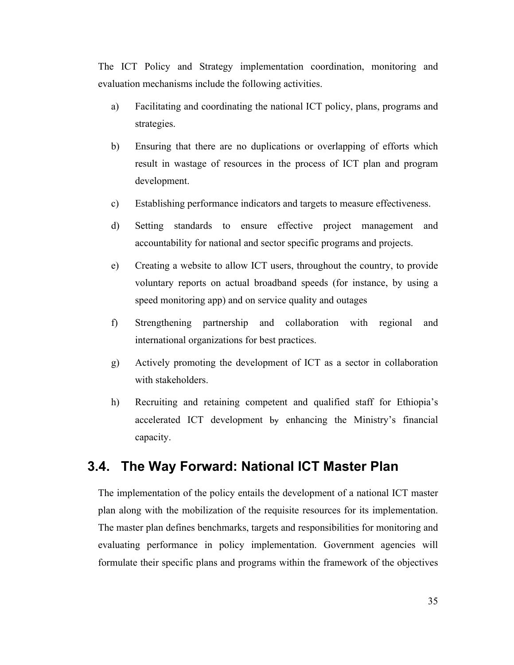The ICT Policy and Strategy implementation coordination, monitoring and evaluation mechanisms include the following activities.

- a) Facilitating and coordinating the national ICT policy, plans, programs and strategies.
- b) Ensuring that there are no duplications or overlapping of efforts which result in wastage of resources in the process of ICT plan and program development.
- c) Establishing performance indicators and targets to measure effectiveness.
- d) Setting standards to ensure effective project management and accountability for national and sector specific programs and projects.
- e) Creating a website to allow ICT users, throughout the country, to provide voluntary reports on actual broadband speeds (for instance, by using a speed monitoring app) and on service quality and outages
- f) Strengthening partnership and collaboration with regional and international organizations for best practices.
- g) Actively promoting the development of ICT as a sector in collaboration with stakeholders.
- h) Recruiting and retaining competent and qualified staff for Ethiopia's accelerated ICT development by enhancing the Ministry's financial capacity.

#### **3.4. The Way Forward: National ICT Master Plan**

The implementation of the policy entails the development of a national ICT master plan along with the mobilization of the requisite resources for its implementation. The master plan defines benchmarks, targets and responsibilities for monitoring and evaluating performance in policy implementation. Government agencies will formulate their specific plans and programs within the framework of the objectives